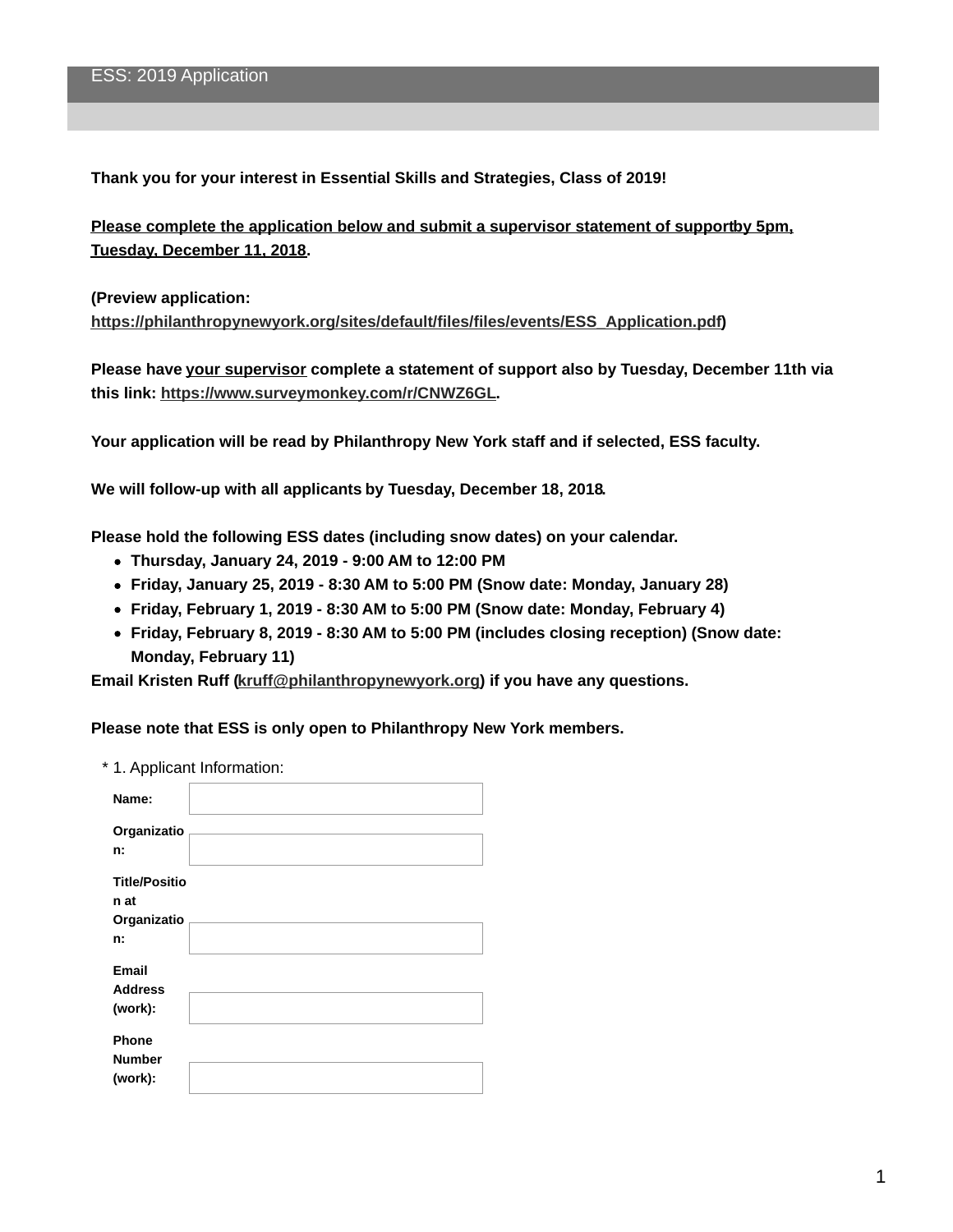**Thank you for your interest in Essential Skills and Strategies, Class of 2019!**

**Please complete the application below and submit a supervisor statement of supportby 5pm, Tuesday, December 11, 2018.**

**(Preview application:**

**[https://philanthropynewyork.org/sites/default/files/files/events/ESS\\_Application.pdf](https://philanthropynewyork.org/sites/default/files/files/events/ESS_Application.pdf))**

**Please have your supervisor complete a statement of support also by Tuesday, December 11th via this link: <https://www.surveymonkey.com/r/CNWZ6GL>.**

**Your application will be read by Philanthropy New York staff and if selected, ESS faculty.**

**We will follow-up with all applicants by Tuesday, December 18, 2018.**

**Please hold the following ESS dates (including snow dates) on your calendar.**

- **Thursday, January 24, 2019 - 9:00 AM to 12:00 PM**
- **Friday, January 25, 2019 - 8:30 AM to 5:00 PM (Snow date: Monday, January 28)**
- **Friday, February 1, 2019 - 8:30 AM to 5:00 PM (Snow date: Monday, February 4)**
- **Friday, February 8, 2019 - 8:30 AM to 5:00 PM (includes closing reception) (Snow date: Monday, February 11)**

**Email Kristen Ruff [\(kruff@philanthropynewyork.org](mailto:kruff@philanthropynewyork.org)) if you have any questions.**

**Please note that ESS is only open to Philanthropy New York members.**

| * 1. Applicant Information: |                                                   |  |
|-----------------------------|---------------------------------------------------|--|
|                             | Name:                                             |  |
|                             | Organizatio<br>n:                                 |  |
|                             | <b>Title/Positio</b><br>n at<br>Organizatio<br>n: |  |
|                             | Email<br><b>Address</b><br>(work):                |  |
|                             | Phone<br><b>Number</b><br>(work):                 |  |
|                             |                                                   |  |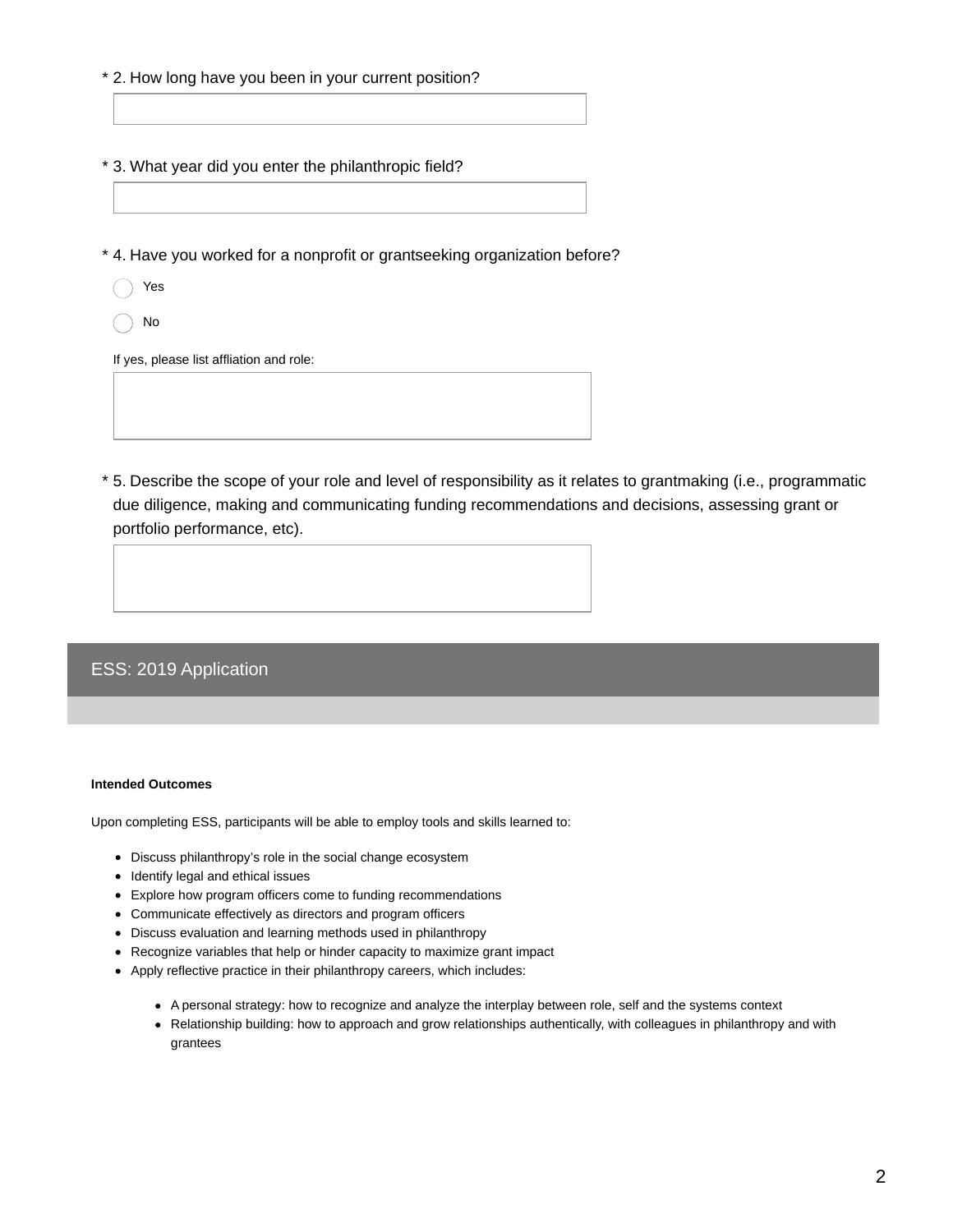- \* 2. How long have you been in your current position?
- \* 3. What year did you enter the philanthropic field?

\* 4. Have you worked for a nonprofit or grantseeking organization before?

- Yes
- No

If yes, please list affliation and role:

5. Describe the scope of your role and level of responsibility as it relates to grantmaking (i.e., programmatic \* due diligence, making and communicating funding recommendations and decisions, assessing grant or portfolio performance, etc).

## ESS: 2019 Application

## **Intended Outcomes**

Upon completing ESS, participants will be able to employ tools and skills learned to:

- Discuss philanthropy's role in the social change ecosystem
- Identify legal and ethical issues
- Explore how program officers come to funding recommendations
- Communicate effectively as directors and program officers
- Discuss evaluation and learning methods used in philanthropy
- Recognize variables that help or hinder capacity to maximize grant impact
- Apply reflective practice in their philanthropy careers, which includes:
	- A personal strategy: how to recognize and analyze the interplay between role, self and the systems context
	- Relationship building: how to approach and grow relationships authentically, with colleagues in philanthropy and with grantees